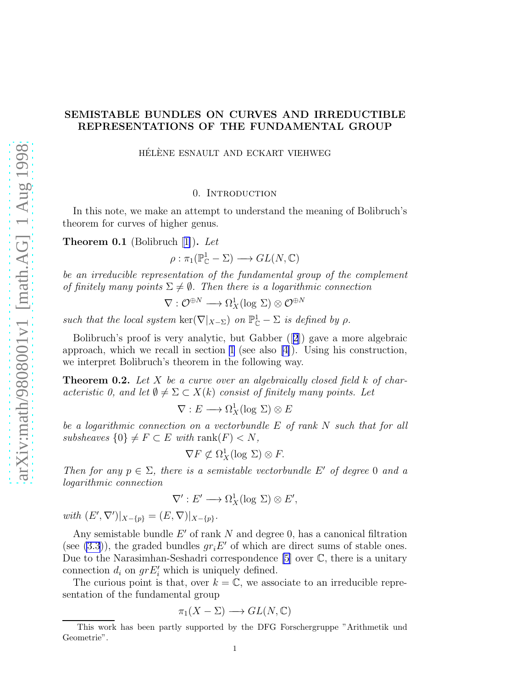# <span id="page-0-0"></span>SEMISTABLE BUNDLES ON CURVES AND IRREDUCTIBLE REPRESENTATIONS OF THE FUNDAMENTAL GROUP

HÉLÈNE ESNAULT AND ECKART VIEHWEG

0. INTRODUCTION

In this note, we make an attempt to understand the meaning of Bolibruch's theorem for curves of higher genus.

**Theorem0.1** (Bolibruch [[1\]](#page-9-0)). Let

 $\rho: \pi_1(\mathbb{P}^1_{\mathbb{C}} - \Sigma) \longrightarrow GL(N, \mathbb{C})$ 

be an irreducible representation of the fundamental group of the complement of finitely many points  $\Sigma \neq \emptyset$ . Then there is a logarithmic connection

$$
\nabla: \mathcal{O}^{\oplus N} \longrightarrow \Omega^1_X(\log \Sigma) \otimes \mathcal{O}^{\oplus N}
$$

such that the local system  $\ker(\nabla|_{X-\Sigma})$  on  $\mathbb{P}^1_{\mathbb{C}}-\Sigma$  is defined by  $\rho$ .

Bolibruch's proof is very analytic, but Gabber ([[2](#page-9-0)]) gave a more algebraic approach, which we recall in section [1](#page-1-0) (see also  $[4]$ ). Using his construction, we interpret Bolibruch's theorem in the following way.

**Theorem 0.2.** Let X be a curve over an algebraically closed field k of characteristic 0, and let  $\emptyset \neq \Sigma \subset X(k)$  consist of finitely many points. Let

 $\nabla: E \longrightarrow \Omega^1_X(\log \Sigma) \otimes E$ 

be a logarithmic connection on a vectorbundle E of rank N such that for all subsheaves  $\{0\} \neq F \subset E$  with rank $(F) < N$ ,

$$
\nabla F \not\subset \Omega^1_X(\log \Sigma) \otimes F.
$$

Then for any  $p \in \Sigma$ , there is a semistable vectorbundle E' of degree 0 and a logarithmic connection

$$
\nabla': E' \longrightarrow \Omega^1_X(\log \Sigma) \otimes E',
$$

with  $(E', \nabla')|_{X-\{p\}} = (E, \nabla)|_{X-\{p\}}.$ 

Any semistable bundle  $E'$  of rank  $N$  and degree 0, has a canonical filtration (see  $(3.3)$ ), the graded bundles  $gr_iE'$  of which are direct sums of stable ones. Due to the Narasimhan-Seshadri correspondence [\[5](#page-9-0)] over C, there is a unitary connection  $d_i$  on  $grE'_i$  which is uniquely defined.

The curious point is that, over  $k = \mathbb{C}$ , we associate to an irreducible representation of the fundamental group

$$
\pi_1(X - \Sigma) \longrightarrow GL(N, \mathbb{C})
$$

This work has been partly supported by the DFG Forschergruppe "Arithmetik und Geometrie".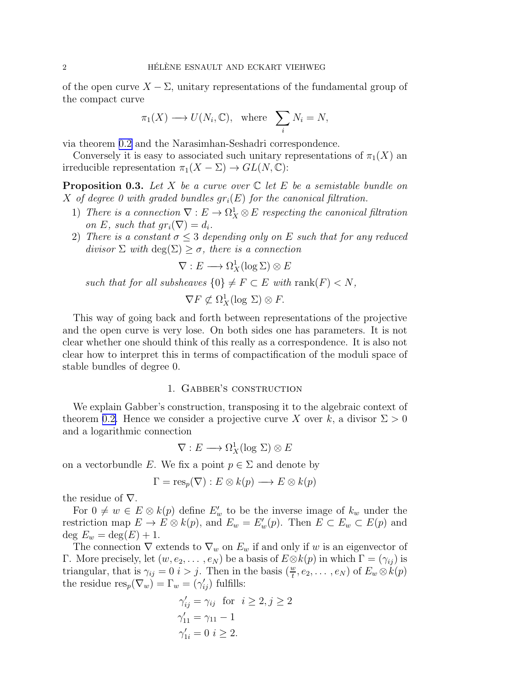<span id="page-1-0"></span>of the open curve  $X - \Sigma$ , unitary representations of the fundamental group of the compact curve

$$
\pi_1(X) \longrightarrow U(N_i, \mathbb{C}), \text{ where } \sum_i N_i = N,
$$

via theorem [0.2](#page-0-0) and the Narasimhan-Seshadri correspondence.

Conversely it is easy to associated such unitary representations of  $\pi_1(X)$  and irreducible representation  $\pi_1(X - \Sigma) \to GL(N, \mathbb{C})$ :

**Proposition 0.3.** Let X be a curve over  $\mathbb C$  let E be a semistable bundle on X of degree 0 with graded bundles  $gr_i(E)$  for the canonical filtration.

- 1) There is a connection  $\nabla : E \to \Omega^1_X \otimes E$  respecting the canonical filtration on E, such that  $gr_i(\nabla) = d_i$ .
- 2) There is a constant  $\sigma \leq 3$  depending only on E such that for any reduced divisor  $\Sigma$  with  $\deg(\Sigma) \geq \sigma$ , there is a connection

 $\nabla: E \longrightarrow \Omega^1_X(\log \Sigma) \otimes E$ 

such that for all subsheaves  $\{0\} \neq F \subset E$  with rank $(F) < N$ ,

$$
\nabla F \not\subset \Omega^1_X(\log \Sigma) \otimes F.
$$

This way of going back and forth between representations of the projective and the open curve is very lose. On both sides one has parameters. It is not clear whether one should think of this really as a correspondence. It is also not clear how to interpret this in terms of compactification of the moduli space of stable bundles of degree 0.

# 1. Gabber's construction

We explain Gabber's construction, transposing it to the algebraic context of theorem [0.2.](#page-0-0) Hence we consider a projective curve X over k, a divisor  $\Sigma > 0$ and a logarithmic connection

$$
\nabla: E \longrightarrow \Omega^1_X(\log \Sigma) \otimes E
$$

on a vectorbundle E. We fix a point  $p \in \Sigma$  and denote by

$$
\Gamma = \operatorname{res}_p(\nabla) : E \otimes k(p) \longrightarrow E \otimes k(p)
$$

the residue of  $\nabla$ .

For  $0 \neq w \in E \otimes k(p)$  define  $E'_{w}$  to be the inverse image of  $k_{w}$  under the restriction map  $E \to E \otimes k(p)$ , and  $E_w = E'_w(p)$ . Then  $E \subset E_w \subset E(p)$  and deg  $E_w = \deg(E) + 1$ .

The connection  $\nabla$  extends to  $\nabla_w$  on  $E_w$  if and only if w is an eigenvector of Γ. More precisely, let  $(w, e_2, \ldots, e_N)$  be a basis of  $E \otimes k(p)$  in which  $\Gamma = (\gamma_{ij})$  is triangular, that is  $\gamma_{ij} = 0$  i > j. Then in the basis  $(\frac{w}{t}, e_2, \dots, e_N)$  of  $E_w \otimes k(p)$ the residue  $res_p(\nabla_w) = \Gamma_w = (\gamma'_{ij})$  fulfills:

$$
\gamma'_{ij} = \gamma_{ij} \text{ for } i \ge 2, j \ge 2
$$
  
\n
$$
\gamma'_{11} = \gamma_{11} - 1
$$
  
\n
$$
\gamma'_{1i} = 0 \quad i \ge 2.
$$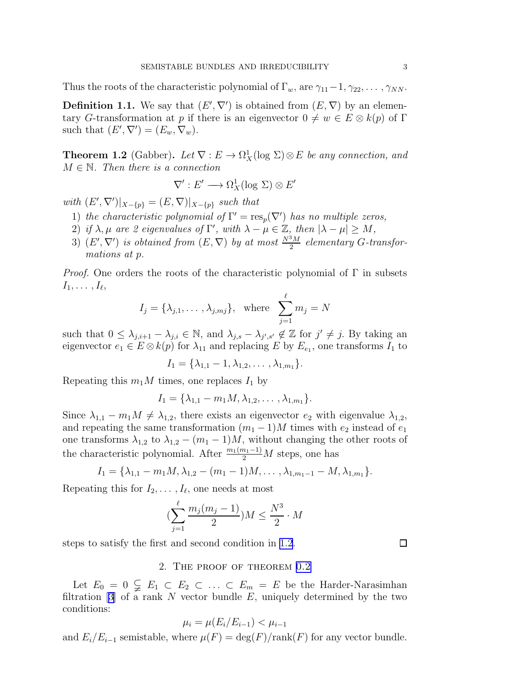Thus the roots of the characteristic polynomial of  $\Gamma_w$ , are  $\gamma_{11}-1, \gamma_{22}, \ldots, \gamma_{NN}$ .

**Definition 1.1.** We say that  $(E', \nabla')$  is obtained from  $(E, \nabla)$  by an elementary G-transformation at p if there is an eigenvector  $0 \neq w \in E \otimes k(p)$  of  $\Gamma$ such that  $(E', \nabla') = (E_w, \nabla_w).$ 

**Theorem 1.2** (Gabber). Let  $\nabla : E \to \Omega_X^1(\log \Sigma) \otimes E$  be any connection, and  $M \in \mathbb{N}$ . Then there is a connection

$$
\nabla': E' \longrightarrow \Omega^1_X(\log \Sigma) \otimes E'
$$

with  $(E', \nabla')|_{X-\{p\}} = (E, \nabla)|_{X-\{p\}}$  such that

- 1) the characteristic polynomial of  $\Gamma' = \text{res}_p(\nabla')$  has no multiple zeros,
- 2) if  $\lambda, \mu$  are 2 eigenvalues of  $\Gamma'$ , with  $\lambda \mu \in \mathbb{Z}$ , then  $|\lambda \mu| \ge M$ ,
- 3)  $(E', \nabla')$  is obtained from  $(E, \nabla)$  by at most  $\frac{N^3 M}{2}$  elementary G-transformations at p.

*Proof.* One orders the roots of the characteristic polynomial of  $\Gamma$  in subsets  $I_1, \ldots, I_\ell,$ 

$$
I_j = \{\lambda_{j,1}, \dots, \lambda_{j,mj}\}, \text{ where } \sum_{j=1}^{\ell} m_j = N
$$

such that  $0 \leq \lambda_{j,i+1} - \lambda_{j,i} \in \mathbb{N}$ , and  $\lambda_{j,s} - \lambda_{j',s'} \notin \mathbb{Z}$  for  $j' \neq j$ . By taking an eigenvector  $e_1 \in E \otimes k(p)$  for  $\lambda_{11}$  and replacing E by  $E_{e_1}$ , one transforms  $I_1$  to

$$
I_1 = \{\lambda_{1,1} - 1, \lambda_{1,2}, \ldots, \lambda_{1,m_1}\}.
$$

Repeating this  $m_1M$  times, one replaces  $I_1$  by

$$
I_1 = \{\lambda_{1,1} - m_1M, \lambda_{1,2}, \ldots, \lambda_{1,m_1}\}.
$$

Since  $\lambda_{1,1} - m_1 M \neq \lambda_{1,2}$ , there exists an eigenvector  $e_2$  with eigenvalue  $\lambda_{1,2}$ , and repeating the same transformation  $(m_1 - 1)M$  times with  $e_2$  instead of  $e_1$ one transforms  $\lambda_{1,2}$  to  $\lambda_{1,2} - (m_1 - 1)M$ , without changing the other roots of the characteristic polynomial. After  $\frac{m_1(m_1-1)}{2}M$  steps, one has

$$
I_1 = {\lambda_{1,1} - m_1 M, \lambda_{1,2} - (m_1 - 1)M, \ldots, \lambda_{1,m_1 - 1} - M, \lambda_{1,m_1}}.
$$

Repeating this for  $I_2, \ldots, I_\ell$ , one needs at most

$$
(\sum_{j=1}^{\ell} \frac{m_j(m_j - 1)}{2})M \le \frac{N^3}{2} \cdot M
$$

steps to satisfy the first and second condition in 1.2.

2. The proof of theorem [0.2](#page-0-0)

Let  $E_0 = 0 \subsetneq E_1 \subset E_2 \subset \ldots \subset E_m = E$  be the Harder-Narasimhan filtration [\[3\]](#page-9-0) of a rank N vector bundle  $E$ , uniquely determined by the two conditions:

$$
\mu_i = \mu(E_i/E_{i-1}) < \mu_{i-1}
$$

and  $E_i/E_{i-1}$  semistable, where  $\mu(F) = \deg(F)/\text{rank}(F)$  for any vector bundle.

 $\Box$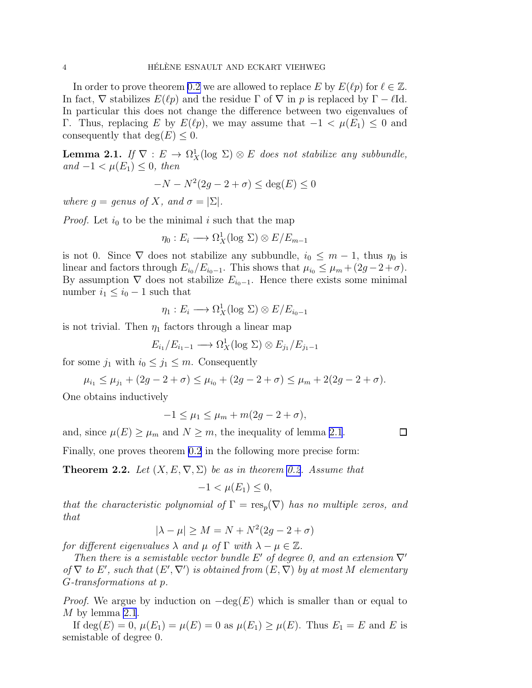In order to prove theorem [0.2](#page-0-0) we are allowed to replace E by  $E(\ell p)$  for  $\ell \in \mathbb{Z}$ . In fact,  $\nabla$  stabilizes  $E(\ell p)$  and the residue  $\Gamma$  of  $\nabla$  in p is replaced by  $\Gamma - \ell \mathrm{Id}$ . In particular this does not change the difference between two eigenvalues of Γ. Thus, replacing E by  $E(\ell p)$ , we may assume that  $-1 < \mu(E_1) \leq 0$  and consequently that  $deg(E) \leq 0$ .

**Lemma 2.1.** If  $\nabla : E \to \Omega_X^1(\log \Sigma) \otimes E$  does not stabilize any subbundle, and  $-1 < \mu(E_1) \leq 0$ , then

$$
-N - N^2(2g - 2 + \sigma) \le \deg(E) \le 0
$$

where  $q = q$ enus of X, and  $\sigma = |\Sigma|$ .

*Proof.* Let  $i_0$  to be the minimal i such that the map

$$
\eta_0: E_i \longrightarrow \Omega^1_X(\log \Sigma) \otimes E/E_{m-1}
$$

is not 0. Since  $\nabla$  does not stabilize any subbundle,  $i_0 \leq m-1$ , thus  $\eta_0$  is linear and factors through  $E_{i_0}/E_{i_0-1}$ . This shows that  $\mu_{i_0} \leq \mu_m + (2g - 2 + \sigma)$ . By assumption  $\nabla$  does not stabilize  $E_{i_0-1}$ . Hence there exists some minimal number  $i_1 \leq i_0 - 1$  such that

$$
\eta_1: E_i \longrightarrow \Omega^1_X(\log \Sigma) \otimes E/E_{i_0-1}
$$

is not trivial. Then  $\eta_1$  factors through a linear map

$$
E_{i_1}/E_{i_1-1} \longrightarrow \Omega^1_X(\log \Sigma) \otimes E_{j_1}/E_{j_1-1}
$$

for some  $j_1$  with  $i_0 \leq j_1 \leq m$ . Consequently

$$
\mu_{i_1} \le \mu_{j_1} + (2g - 2 + \sigma) \le \mu_{i_0} + (2g - 2 + \sigma) \le \mu_m + 2(2g - 2 + \sigma).
$$

One obtains inductively

$$
-1 \le \mu_1 \le \mu_m + m(2g - 2 + \sigma),
$$

and, since  $\mu(E) \geq \mu_m$  and  $N \geq m$ , the inequality of lemma 2.1.

 $\Box$ 

Finally, one proves theorem [0.2](#page-0-0) in the following more precise form:

**Theorem 2.2.** Let  $(X, E, \nabla, \Sigma)$  be as in theorem [0.2](#page-0-0). Assume that

$$
-1 < \mu(E_1) \leq 0,
$$

that the characteristic polynomial of  $\Gamma = \text{res}_p(\nabla)$  has no multiple zeros, and that

$$
|\lambda - \mu| \ge M = N + N^2(2g - 2 + \sigma)
$$

for different eigenvalues  $\lambda$  and  $\mu$  of  $\Gamma$  with  $\lambda - \mu \in \mathbb{Z}$ .

Then there is a semistable vector bundle E' of degree 0, and an extension  $\nabla'$ of  $\nabla$  to E', such that  $(E', \nabla')$  is obtained from  $(E, \nabla)$  by at most M elementary G-transformations at p.

*Proof.* We argue by induction on  $-\deg(E)$  which is smaller than or equal to M by lemma 2.1.

If  $deg(E) = 0$ ,  $\mu(E_1) = \mu(E) = 0$  as  $\mu(E_1) \ge \mu(E)$ . Thus  $E_1 = E$  and E is semistable of degree 0.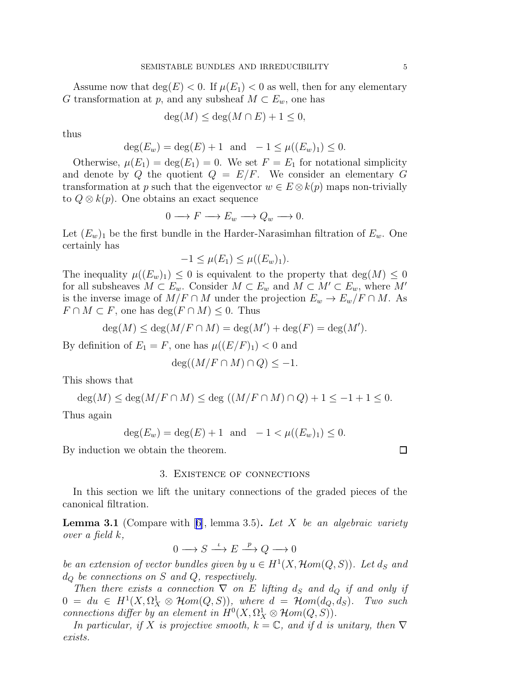<span id="page-4-0"></span>Assume now that  $deg(E) < 0$ . If  $\mu(E_1) < 0$  as well, then for any elementary G transformation at p, and any subsheaf  $M \subset E_w$ , one has

$$
\deg(M) \le \deg(M \cap E) + 1 \le 0,
$$

thus

$$
deg(E_w) = deg(E) + 1
$$
 and  $-1 \le \mu((E_w)_1) \le 0$ .

Otherwise,  $\mu(E_1) = \deg(E_1) = 0$ . We set  $F = E_1$  for notational simplicity and denote by Q the quotient  $Q = E/F$ . We consider an elementary G transformation at p such that the eigenvector  $w \in E \otimes k(p)$  maps non-trivially to  $Q \otimes k(p)$ . One obtains an exact sequence

$$
0 \longrightarrow F \longrightarrow E_w \longrightarrow Q_w \longrightarrow 0.
$$

Let  $(E_w)_1$  be the first bundle in the Harder-Narasimhan filtration of  $E_w$ . One certainly has

$$
-1 \leq \mu(E_1) \leq \mu((E_w)_1).
$$

The inequality  $\mu((E_w)_1) \leq 0$  is equivalent to the property that  $\deg(M) \leq 0$ for all subsheaves  $M \subset E_w$ . Consider  $M \subset E_w$  and  $M \subset M' \subset E_w$ , where M' is the inverse image of  $M/F \cap M$  under the projection  $E_w \to E_w/F \cap M$ . As  $F \cap M \subset F$ , one has  $\deg(F \cap M) \leq 0$ . Thus

$$
\deg(M) \le \deg(M/F \cap M) = \deg(M') + \deg(F) = \deg(M').
$$

By definition of  $E_1 = F$ , one has  $\mu((E/F)_1) < 0$  and

$$
\deg((M/F \cap M) \cap Q) \le -1.
$$

This shows that

$$
\deg(M) \le \deg(M/F \cap M) \le \deg((M/F \cap M) \cap Q) + 1 \le -1 + 1 \le 0.
$$

Thus again

$$
deg(E_w) = deg(E) + 1
$$
 and  $-1 < \mu((E_w)_1) \leq 0$ .

By induction we obtain the theorem.

## 3. Existence of connections

In this section we lift the unitary connections of the graded pieces of the canonical filtration.

**Lemma3.1** (Compare with  $[6]$  $[6]$ , lemma 3.5). Let X be an algebraic variety over a field k,

$$
0 \longrightarrow S \xrightarrow{\iota} E \xrightarrow{p} Q \longrightarrow 0
$$

be an extension of vector bundles given by  $u \in H^1(X, \mathcal{H}om(Q, S))$ . Let  $d_S$  and  $d_Q$  be connections on S and Q, respectively.

Then there exists a connection  $\nabla$  on E lifting  $d_S$  and  $d_Q$  if and only if  $0 = du \in H^1(X, \Omega_X^1 \otimes \mathcal{H}om(Q, S)),$  where  $d = \mathcal{H}om(d_Q, d_S)$ . Two such connections differ by an element in  $H^0(X, \Omega_X^1 \otimes \mathcal{H}om(Q, S)).$ 

In particular, if X is projective smooth,  $k = \mathbb{C}$ , and if d is unitary, then  $\nabla$ exists.

$$
\Box
$$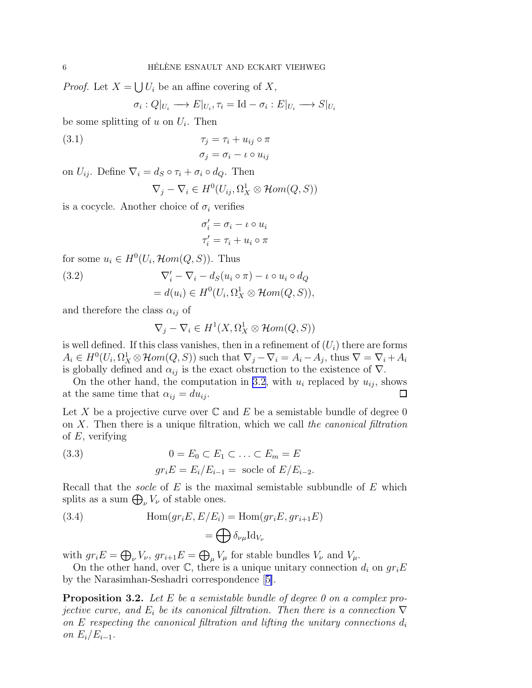<span id="page-5-0"></span>*Proof.* Let  $X = \bigcup U_i$  be an affine covering of X,

$$
\sigma_i: Q|_{U_i} \longrightarrow E|_{U_i}, \tau_i = \mathrm{Id} - \sigma_i: E|_{U_i} \longrightarrow S|_{U_i}
$$

be some splitting of  $u$  on  $U_i$ . Then

(3.1) 
$$
\tau_j = \tau_i + u_{ij} \circ \pi
$$

$$
\sigma_j = \sigma_i - \iota \circ u_{ij}
$$

on  $U_{ij}$ . Define  $\nabla_i = d_S \circ \tau_i + \sigma_i \circ d_O$ . Then

$$
\nabla_j - \nabla_i \in H^0(U_{ij}, \Omega^1_X \otimes \mathcal{H}om(Q, S))
$$

is a cocycle. Another choice of  $\sigma_i$  verifies

$$
\sigma'_i = \sigma_i - \iota \circ u_i
$$
  

$$
\tau'_i = \tau_i + u_i \circ \pi
$$

for some  $u_i \in H^0(U_i, \mathcal{H}om(Q, S))$ . Thus

(3.2) 
$$
\nabla'_{i} - \nabla_{i} - d_{S}(u_{i} \circ \pi) - \iota \circ u_{i} \circ d_{Q}
$$

$$
= d(u_{i}) \in H^{0}(U_{i}, \Omega_{X}^{1} \otimes \mathcal{H}om(Q, S)),
$$

and therefore the class  $\alpha_{ij}$  of

$$
\nabla_j - \nabla_i \in H^1(X, \Omega^1_X \otimes \mathcal{H}om(Q, S))
$$

is well defined. If this class vanishes, then in a refinement of  $(U_i)$  there are forms  $A_i \in H^0(U_i, \Omega^1_X \otimes \mathcal{H}om(Q, S))$  such that  $\nabla_j - \nabla_i = A_i - A_j$ , thus  $\nabla = \nabla_i + A_i$ is globally defined and  $\alpha_{ij}$  is the exact obstruction to the existence of  $\nabla$ .

On the other hand, the computation in 3.2, with  $u_i$  replaced by  $u_{ij}$ , shows at the same time that  $\alpha_{ij} = du_{ij}$ .  $\Box$ 

Let X be a projective curve over  $\mathbb C$  and  $E$  be a semistable bundle of degree 0 on X. Then there is a unique filtration, which we call the canonical filtration of  $E$ , verifying

(3.3) 
$$
0 = E_0 \subset E_1 \subset \ldots \subset E_m = E
$$

$$
gr_i E = E_i / E_{i-1} = \text{sole of } E / E_{i-2}.
$$

Recall that the *socle* of  $E$  is the maximal semistable subbundle of  $E$  which splits as a sum  $\bigoplus_{\nu} V_{\nu}$  of stable ones.

(3.4) 
$$
\text{Hom}(gr_iE, E/E_i) = \text{Hom}(gr_iE, gr_{i+1}E)
$$

$$
= \bigoplus \delta_{\nu\mu} \text{Id}_{V_{\nu}}
$$

with  $gr_i E = \bigoplus_{\nu} V_{\nu}$ ,  $gr_{i+1} E = \bigoplus_{\mu} V_{\mu}$  for stable bundles  $V_{\nu}$  and  $V_{\mu}$ .

On the other hand, over  $\mathbb C$ , there is a unique unitary connection  $d_i$  on  $gr_iE$ by the Narasimhan-Seshadri correspondence[[5\]](#page-9-0).

**Proposition 3.2.** Let E be a semistable bundle of degree 0 on a complex projective curve, and  $E_i$  be its canonical filtration. Then there is a connection  $\nabla$ on E respecting the canonical filtration and lifting the unitary connections  $d_i$ on  $E_i/E_{i-1}$ .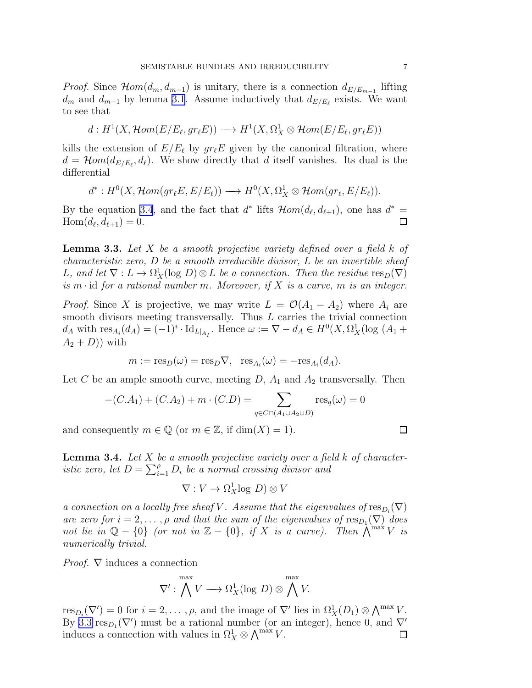<span id="page-6-0"></span>*Proof.* Since  $\mathcal{H}om(d_m, d_{m-1})$  is unitary, there is a connection  $d_{E/E_{m-1}}$  lifting  $d_m$  and  $d_{m-1}$  by lemma [3.1](#page-4-0). Assume inductively that  $d_{E/E_\ell}$  exists. We want to see that

$$
d: H^1(X, \mathcal{H}om(E/E_{\ell}, gr_{\ell}E)) \longrightarrow H^1(X, \Omega_X^1 \otimes \mathcal{H}om(E/E_{\ell}, gr_{\ell}E))
$$

kills the extension of  $E/E_\ell$  by  $qr_\ell E$  given by the canonical filtration, where  $d = \mathcal{H}om(d_{E/E_{\ell}}, d_{\ell}).$  We show directly that d itself vanishes. Its dual is the differential

$$
d^*: H^0(X, \mathcal{H}om(gr_{\ell}E, E/E_{\ell})) \longrightarrow H^0(X, \Omega_X^1 \otimes \mathcal{H}om(gr_{\ell}, E/E_{\ell})).
$$

By the equation [3.4](#page-5-0), and the fact that  $d^*$  lifts  $\mathcal{H}om(d_{\ell}, d_{\ell+1})$ , one has  $d^* =$  $Hom(d_{\ell}, d_{\ell+1}) = 0.$  $\Box$ 

**Lemma 3.3.** Let X be a smooth projective variety defined over a field  $k$  of characteristic zero, D be a smooth irreducible divisor, L be an invertible sheaf L, and let  $\nabla: L \to \Omega^1_X(\log D) \otimes L$  be a connection. Then the residue  $\text{res}_D(\nabla)$ is  $m \cdot$  id for a rational number m. Moreover, if X is a curve, m is an integer.

*Proof.* Since X is projective, we may write  $L = \mathcal{O}(A_1 - A_2)$  where  $A_i$  are smooth divisors meeting transversally. Thus  $L$  carries the trivial connection  $d_A$  with  $res_{A_i}(d_A) = (-1)^i \cdot Id_{L|_{A_I}}$ . Hence  $\omega := \nabla - d_A \in H^0(X, \Omega^1_X(\log |A_1 + \Omega^2_X))$  $(A_2 + D)$ ) with

$$
m := \operatorname{res}_D(\omega) = \operatorname{res}_D \nabla, \quad \operatorname{res}_{A_i}(\omega) = -\operatorname{res}_{A_i}(d_A).
$$

Let C be an ample smooth curve, meeting  $D$ ,  $A_1$  and  $A_2$  transversally. Then

$$
-(C.A_1) + (C.A_2) + m \cdot (C.D) = \sum_{q \in C \cap (A_1 \cup A_2 \cup D)} res_q(\omega) = 0
$$

and consequently  $m \in \mathbb{Q}$  (or  $m \in \mathbb{Z}$ , if  $\dim(X) = 1$ ).

**Lemma 3.4.** Let X be a smooth projective variety over a field  $k$  of characteristic zero, let  $D = \sum_{i=1}^{p} D_i$  be a normal crossing divisor and

$$
\nabla: V \to \Omega_X^1 \text{log } D) \otimes V
$$

a connection on a locally free sheaf V. Assume that the eigenvalues of  $\text{res}_{D_i}(\nabla)$ are zero for  $i = 2, ..., \rho$  and that the sum of the eigenvalues of  $\text{res}_{D_1}(\nabla)$  does not lie in  $\mathbb{Q} - \{0\}$  (or not in  $\mathbb{Z} - \{0\}$ , if X is a curve). Then  $\bigwedge^{\text{max}} V$  is numerically trivial.

*Proof.*  $\nabla$  induces a connection

$$
\nabla':\bigwedge^{\max}V\longrightarrow \Omega^1_X(\log \, D)\otimes \bigwedge^{\max}V.
$$

 $res_{D_i}(\nabla') = 0$  for  $i = 2, ..., \rho$ , and the image of  $\nabla'$  lies in  $\Omega^1_X(D_1) \otimes \bigwedge^{\max} V$ . By 3.3  $res_{D_1}(\nabla')$  must be a rational number (or an integer), hence 0, and  $\nabla'$ induces a connection with values in  $\Omega^1_X \otimes \bigwedge^{\text{max}} V$ . □

 $\Box$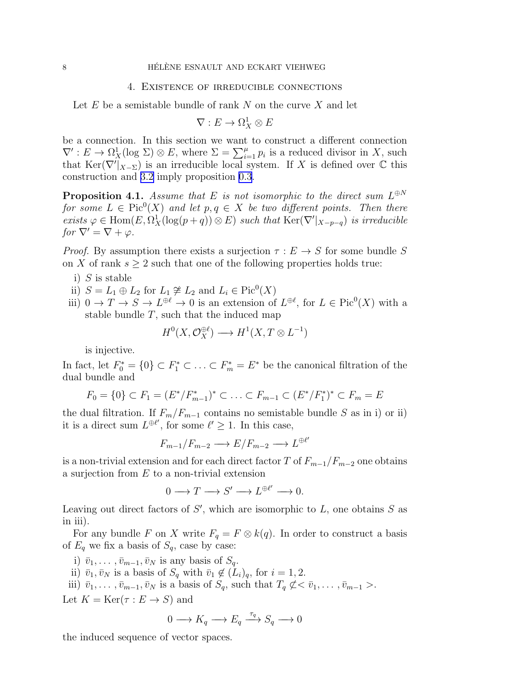#### 4. Existence of irreducible connections

<span id="page-7-0"></span>Let  $E$  be a semistable bundle of rank  $N$  on the curve  $X$  and let

$$
\nabla: E \to \Omega^1_X \otimes E
$$

be a connection. In this section we want to construct a different connection  $\nabla' : E \to \Omega^1_X(\log \Sigma) \otimes E$ , where  $\Sigma = \sum_{i=1}^{\mu} p_i$  is a reduced divisor in X, such that  $\text{Ker}(\nabla'|_{X-\Sigma})$  is an irreducible local system. If X is defined over  $\mathbb C$  this construction and [3.2](#page-5-0) imply proposition [0.3](#page-1-0).

**Proposition 4.1.** Assume that E is not isomorphic to the direct sum  $L^{\oplus N}$ for some  $L \in Pic^0(X)$  and let  $p, q \in X$  be two different points. Then there exists  $\varphi \in \text{Hom}(E, \Omega^1_X(\log(p+q)) \otimes E)$  such that  $\text{Ker}(\nabla'|_{X-p-q})$  is irreducible for  $\nabla' = \nabla + \varphi$ .

*Proof.* By assumption there exists a surjection  $\tau : E \to S$  for some bundle S on X of rank  $s \geq 2$  such that one of the following properties holds true:

- i)  $S$  is stable
- ii)  $S = L_1 \oplus L_2$  for  $L_1 \not\cong L_2$  and  $L_i \in Pic^0(X)$
- iii)  $0 \to T \to S \to L^{\oplus \ell} \to 0$  is an extension of  $L^{\oplus \ell}$ , for  $L \in Pic^0(X)$  with a stable bundle  $T$ , such that the induced map

$$
H^0(X, \mathcal{O}_X^{\oplus \ell}) \longrightarrow H^1(X, T \otimes L^{-1})
$$

is injective.

In fact, let  $F_0^* = \{0\} \subset F_1^* \subset \ldots \subset F_m^* = E^*$  be the canonical filtration of the dual bundle and

$$
F_0 = \{0\} \subset F_1 = (E^* / F_{m-1}^*)^* \subset \ldots \subset F_{m-1} \subset (E^* / F_1^*)^* \subset F_m = E
$$

the dual filtration. If  $F_m/F_{m-1}$  contains no semistable bundle S as in i) or ii) it is a direct sum  $L^{\oplus \ell'}$ , for some  $\ell' \geq 1$ . In this case,

′

$$
F_{m-1}/F_{m-2} \longrightarrow E/F_{m-2} \longrightarrow L^{\oplus \ell}
$$

is a non-trivial extension and for each direct factor T of  $F_{m-1}/F_{m-2}$  one obtains a surjection from  $E$  to a non-trivial extension

 $0 \longrightarrow T \longrightarrow S' \longrightarrow L^{\oplus \ell'} \longrightarrow 0.$ 

Leaving out direct factors of  $S'$ , which are isomorphic to  $L$ , one obtains  $S$  as in iii).

For any bundle F on X write  $F_q = F \otimes k(q)$ . In order to construct a basis of  $E_q$  we fix a basis of  $S_q$ , case by case:

- i)  $\bar{v}_1, \ldots, \bar{v}_{m-1}, \bar{v}_N$  is any basis of  $S_q$ .
- ii)  $\bar{v}_1, \bar{v}_N$  is a basis of  $S_q$  with  $\bar{v}_1 \notin (L_i)_q$ , for  $i = 1, 2$ .
- iii)  $\bar{v}_1, \ldots, \bar{v}_{m-1}, \bar{v}_N$  is a basis of  $S_q$ , such that  $T_q \not\subset \overline{v}_1, \ldots, \bar{v}_{m-1}$ .

Let  $K = \text{Ker}(\tau : E \to S)$  and

$$
0 \longrightarrow K_q \longrightarrow E_q \stackrel{\tau_q}{\longrightarrow} S_q \longrightarrow 0
$$

the induced sequence of vector spaces.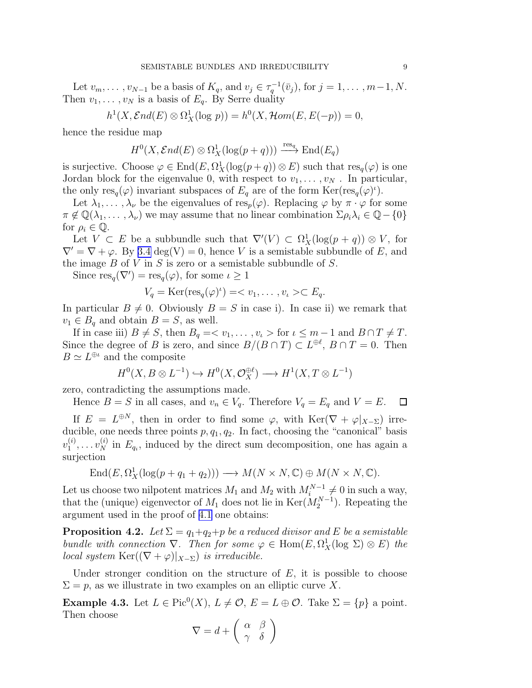Let  $v_m, \ldots, v_{N-1}$  be a basis of  $K_q$ , and  $v_j \in \tau_q^{-1}(\bar{v}_j)$ , for  $j = 1, \ldots, m-1, N$ . Then  $v_1, \ldots, v_N$  is a basis of  $E_q$ . By Serre duality

$$
h^{1}(X, \mathcal{E}nd(E) \otimes \Omega^{1}_{X}(\log p)) = h^{0}(X, \mathcal{H}om(E, E(-p)) = 0,
$$

hence the residue map

$$
H^{0}(X, \mathcal{E}nd(E) \otimes \Omega^{1}_{X}(\log(p+q))) \xrightarrow{\text{res}_{q}} \text{End}(E_{q})
$$

is surjective. Choose  $\varphi \in \text{End}(E, \Omega_X^1(\log(p+q)) \otimes E)$  such that  $\text{res}_q(\varphi)$  is one Jordan block for the eigenvalue 0, with respect to  $v_1, \ldots, v_N$ . In particular, the only  $res_q(\varphi)$  invariant subspaces of  $E_q$  are of the form  $\text{Ker}(\text{res}_q(\varphi)^{\iota})$ .

Let  $\lambda_1, \ldots, \lambda_\nu$  be the eigenvalues of res<sub>p</sub>( $\varphi$ ). Replacing  $\varphi$  by  $\pi \cdot \varphi$  for some  $\pi \notin \mathbb{Q}(\lambda_1, \ldots, \lambda_\nu)$  we may assume that no linear combination  $\Sigma \rho_i \lambda_i \in \mathbb{Q} - \{0\}$ for  $\rho_i \in \mathbb{Q}$ .

Let  $V \subset E$  be a subbundle such that  $\nabla'(V) \subset \Omega^1_X(\log(p+q)) \otimes V$ , for  $\nabla' = \nabla + \varphi$ . By [3.4](#page-6-0) deg(V) = 0, hence V is a semistable subbundle of E, and the image  $B$  of  $V$  in  $S$  is zero or a semistable subbundle of  $S$ .

Since  $res_q(\nabla') = res_q(\varphi)$ , for some  $\iota \geq 1$ 

$$
V_q = \text{Ker}(\text{res}_q(\varphi)^t) = \langle v_1, \dots, v_t \rangle \subset E_q.
$$

In particular  $B \neq 0$ . Obviously  $B = S$  in case i). In case ii) we remark that  $v_1 \in B_q$  and obtain  $B = S$ , as well.

If in case iii)  $B \neq S$ , then  $B_q = \langle v_1, \ldots, v_k \rangle$  for  $\iota \leq m-1$  and  $B \cap T \neq T$ . Since the degree of B is zero, and since  $B/(B \cap T) \subset L^{\oplus \ell}$ ,  $B \cap T = 0$ . Then  $B \simeq L^{\oplus \iota}$  and the composite

$$
H^0(X, B \otimes L^{-1}) \hookrightarrow H^0(X, \mathcal{O}_X^{\oplus \ell}) \longrightarrow H^1(X, T \otimes L^{-1})
$$

zero, contradicting the assumptions made.

Hence  $B = S$  in all cases, and  $v_n \in V_q$ . Therefore  $V_q = E_q$  and  $V = E$ .  $\Box$ 

If  $E = L^{\oplus N}$ , then in order to find some  $\varphi$ , with  $\text{Ker}(\nabla + \varphi|_{X-\Sigma})$  irreducible, one needs three points  $p, q_1, q_2$ . In fact, choosing the "canonical" basis  $v_1^{(i)}$  $v_1^{(i)}, \ldots v_N^{(i)}$  in  $E_{q_i}$ , induced by the direct sum decomposition, one has again a surjection

$$
End(E, \Omega_X^1(\log(p+q_1+q_2))) \longrightarrow M(N \times N, \mathbb{C}) \oplus M(N \times N, \mathbb{C}).
$$

Let us choose two nilpotent matrices  $M_1$  and  $M_2$  with  $M_i^{N-1} \neq 0$  in such a way, that the (unique) eigenvector of  $M_1$  does not lie in  $\text{Ker}(M_2^{N-1})$ . Repeating the argument used in the proof of [4.1](#page-7-0) one obtains:

**Proposition 4.2.** Let  $\Sigma = q_1 + q_2 + p$  be a reduced divisor and E be a semistable bundle with connection  $\nabla$ . Then for some  $\varphi \in \text{Hom}(E, \Omega_X^1(\log \Sigma) \otimes E)$  the local system Ker $((\nabla + \varphi)|_{X-\Sigma})$  is irreducible.

Under stronger condition on the structure of  $E$ , it is possible to choose  $\Sigma = p$ , as we illustrate in two examples on an elliptic curve X.

**Example 4.3.** Let  $L \in Pic^0(X)$ ,  $L \neq \mathcal{O}$ ,  $E = L \oplus \mathcal{O}$ . Take  $\Sigma = \{p\}$  a point. Then choose

$$
\nabla = d + \left(\begin{array}{cc} \alpha & \beta \\ \gamma & \delta \end{array}\right)
$$